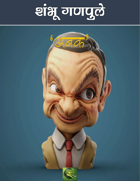

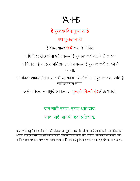# "A~H\$'

हे पुस्तक विनामूल्य आहे<sup>।</sup>

पण फ़ ु कट नाही

हे वाचल्यावर <mark>खर्च</mark> करा ३ मिनिट

१ मिनिट : लेखकांना फ़ोन करून हे पुस्तक कसे वाटले ते कळवा

१ मिनिट : ई साहित्य प्रतिष्ठानला मेल करून हे पुस्तक कसे वाटले ते कळवा.

१ मिनिट : आपले मित्र व ओळखीच्या सर्व मराठी लोकांना या पुस्तकाबद्दल अणि ई सावहत्यबद्दल साांगा.

असे न केल्यास यापुढे आपल्याला पुस्तके मिळणे बंद होऊ शकते.

# दाम नाही मागत. मागत आहेदाद. साद आहे आमची. हवा प्रतिसाद.

दाद म्हणजे स्तुतीच असावी असे नाही. प्रांजळ मत, सूचना, टीका, विरोधी मत यांचे स्वागत आहे. प्रामाणिक मत असावे. ज्यामुळे लेखकाला प्रगती करण्यासाठी दिशा ठरवण्यात मदत होते. मराठीत अधिक कसदार लेखन व्हावे आणि त्यातून वाचक अधिकाधिक प्रगल्भ व्हावा, आणि अखेर संपूर्ण समाज एका नव्या प्रबुद्ध उंचीवर जात रहावा.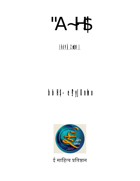# $"A-H$"$

(ñdV) ZnOH)

# bd H\$ - e§yJUnbo



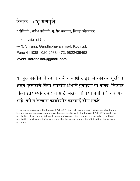## लेखक : शंभू गणपुले

" योगिनी", गणेश कॉलनी, मु. पेठ वडगांव, जिल्हा कोल्हापूर

संपर्क जयंत करंदीकर

--- 3, Srirang, Gandhibhavan road, Kothrud,

Pune 411038 020-25384472, 9822439492

jayant. karandikar@gmail. com

## या पुस्तकातील लेखनाचे सर्व कायदेशीर हक्क लेखकाकडे सुरक्षित असून पुस्तकाचे किंवा त्यातील अंशाचे पुनर्मुद्रण वा नाट्य, चित्रपट किंवा इतर रुपांतर करण्यासाठी लेखकाची परवानगी घेणे आवश्यक आहे. तसे न केल्यास कायदेशीर कारवाई होऊ शकते.

This declaration is as per the Copyright Act 1957. Copyright protection in India is available for any literary, dramatic, musical, sound recording and artistic work. The Copyright Act 1957 provides for registration of such works. Although an author's copyright in a work is recognised even without registration. Infringement of copyright entitles the owner to remedies of injunction, damages and accounts.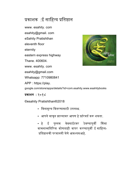### प्रकाशक :ई साहित्य प्रहिष्ठान

www. esahity. com esahity@gmail. com eSahity Pratishthan eleventh floor eternity eastern express highway Thane. 400604. www. esahity. com esahity@gmail.com Whatsapp: 7710980841



google.com/store/apps/details?id=com.esahity.www.esahitybooks

#### प्रकाशन : २०१८

APP : https://play.

©esahity Pratishthan®2018

- हवनामूल्य हविरणासाठी उपलब्ध.
- आपले वाचून झाल्यावर आपण हे फ़ॉरवर्ड करू शकता.
- हे ई पुस्तक वेबसाईटवर ठेवण्यापुर्वी किंंवा वाचनाव्यतिरिक्त कोणताही वापर करण्यापुर्वी ई साहित्य-प्रतिष्ठानची परवानगी घेणे आवश्यकआहे.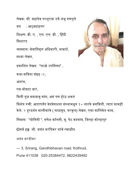लेखक: श्री. महादेव परशुराम उर्फ शंभू गणपुले वय : आठ्ठ्याहत्तर हशिण: बी. ए. , एल. एल. बी. , हिंदी हवशारद व्यवसाय: सेवानिवृत्त अधिकारी, नाबार्ड, सध्या लेखन,

प्रकाशित लेखन: "ताओ उपनिषद" ,

कथा-कविता संग्रह -२,

अंतरंग.

एक मोकाट वारं,

किती तुज समजावू सांग, असं पण होऊ शकतं

विशेष रुची: आतापर्यंत वेगवेगळ्या संस्थामधून १० नाटके बसविली. त्यात कामही केले. २ दूरदर्शन मालीकांचे ( साळसूद, घरकूल) लेखन, एका मालिकेत काम,

निवास: "योगिनी ", गणेश कॉलनी, मु. पेठ वडगांव, जिल्हा कोल्हापूर

©सर्व हक्क श्री. जयंत करंदिकर यांचे स्वाधीन.

जयंत करंदीकर

--- 3, Srirang, Gandhibhavan road, Kothrud,

Pune 411038 020-25384472, 9822439492

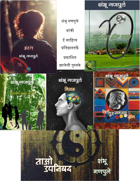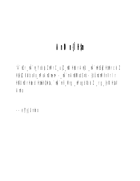# Ane ni Hm

'Á` mZr \_mÂ` m\_Yobd ZmMr C\_u {Z\_m<sup>e</sup> Hibor Am(U \_mÂ`mH\$SjZ H\$mhr cd Z H\$ê\$Z KWboVo\_mPoAmOm+m• -\_mÂ`mAmBModS\$b-{dÚmdmMñnVr | r HifumOr Hited Himeh0hia, `mi`mñ\_Vrg \_mPogd®od Z \_r g\_{n\ HiaV Amho

 $--e$ syJUnibo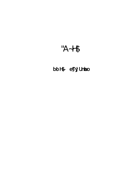$$
"A~\text{-}~H\$"
$$

## bd H\$ - efyJUnibo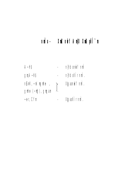# nmlo – Xm2 nuéf An(U Xm2 pñl `m

| $A-H\$                                                                                        | n{hbonnef nml                        |
|-----------------------------------------------------------------------------------------------|--------------------------------------|
| $QmA-H$                                                                                       | $n\{\text{hboñ}\}\text{r}\text{nm}.$ |
| $n\$ $\mathbb{S}$ $\mathbb{V}$ , $\sim$ mi $m$ gmh $\theta$ ,<br>$g$ mh $\theta$ (~mg), gmgam | Xbgaonner nml.                       |
| ∼⊕r, Cfm                                                                                      | XbaoñÌr nmÌ.                         |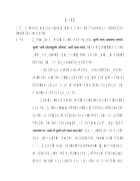(\_Ü`\_ d`mMmEH\$\_mUg àde H\$aVmo a\$J\_\$MmÀ`m\_Ü`mda `D\$Z C^mahmVmo gJi rH\$S\$EH\$ ZOa  $Q$ #H\$Vmo  $Z$ §/a ~mbybmJVmo)

 $A - H\$  -Z\_ñH\$ma \_\$अं r! \_mP§Zm\$d Aemb\$ ~bd\$/ H\$a\_aH\$a. कुणी मला अशक्या म्हणतं. कुणी 'अबे ओऽबल्लकी औलाद' अशी हाक मारतं. HNUr Ami 200H\$m\_fP\$ma Aer hmH\$ \_mê\$Z \_bm \_hmami`\$A/\Z ~\$Jmb\_Yo \\$H\$Z X\VmV. emi H\$ar \_lbm\$Zr \_mÂ`m ZmdmM§ B§IOrH\$aU H\$b`? Vr \_ib§\_bm Sp\$m`Sp\_m\_m åhUVmV!

> 1 a§⁄a {H\$Vr qai AnSzmd Anho\_nP§ H\$.a.\_.a.H\$.a H\$nZm Znhr, \_m[m Znhr, ddon@\$ Znhr, a\\$ma Znhr, On6\*mj a qûOm Znhr! AnJJnS\$A`m Sã`mqmal r EH\$m\_mJ§ EH\$ On Stor en gai Aj as \_mâ`m ZmdmMr An Únj as KN br Var gmYs gai Zmd  $V$ `ma hmV $\frac{C}{2}$  A~H\$! Va Agm\_r A~H\$.

> d{S}bn{Zr \_nR{\&m {dídmgnZ{s\_nP{s}Zn{g} AenH\$ R{@lb{s}Agnd{s} E`n{Zm dnQ}b{s} Agib H\$ r g m0>AemH\$mgmal mMH\$dVu hmB@ An(U EH\${Xdg anii \$IdOmda Zmhr Va Zırhr, nU EH\$mÜm nj mA`m P§ emda Var AemH\$ MH\$ Pi H\$b! nU Vq§H\$mhr Prib§Zirhr. Zird Radë`m{XdgimingyZM r A~H\$ Pribno gm ni'` nUg! B\$JOrV म्हणतात ना 'आहे तो कुणी तरी एक्स वाय् झेड!' Vqm\_r \_amR\$Vbm A∼H\$. A∼H\$Mr {def \_n{hVr qn\$JVnM `Nma Znhr. nbXoåhQ{b\$H\$s \_hmanij\$A`m XnZ {nT&n}Zm Ⅰ i Ⅰ i ⊈ hgdUnA`m nwb. Xenn\$€mMm hgam Mbam Smù`nfg\_ma C^m anhVmo Z. qM. åhQb§H\$s \_amR\$ ^mf**A`**m \_mYw`m®m bd§lr {\_aMrMm qmO MTsdUmao Zaqqh gMVm U Hội HiaM Agbo ngho Aerlmir nûvo nu A~Hi ảhûë`mda?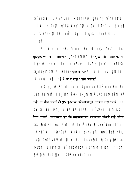S#ù`mT\$HIUrM C^§ahmV Zmhr. A~H\$ hm HIUrM ZgVm ^{\_VrÀ`m AmHIVrbm A~H\$Aq\$Zn\$I {Xb\$Va Vno{IH\$nU AnhoEdT\$Var g\_OV\$ nU ZugV\$A A~H\$ åhQb\$ Va? Va AW©EH\$M! EH\$ gm\_m<sup>2</sup> \_mUg. OJÊ`mgmR\$ \_aUmam Am{U \_aV \_aV OJUmam!

Va \_\$i r \_r A~H\$. Vwihmbm ~{KVë`mda dm0b§ Vw\_A`mer Mma सुखदुःखाच्या गप्पा माराव्यात! \_mkgm bmH\mfMr gwl -दुःखं मोठी असतात. मी Vi mJmi mVbm gm\_mY` \_mUg. \_mÂ`m Zmgdmda OmD\$ ZH\$m Jmi mV Jibilom EH\$mXm Hia\_aHia gmSymM! Va\_mPr gwl -दुःखं ती काय AgUma? nU bhmZ AgmiV qHiidm ाारि≸ AginV. qil fir qil M Airणि दुःखंही दुःखंच असतात!

AnO gJirH\$S§ VinJminVë`m \_nUgnbm da H\$mT£`ngnR\$ KnfUn§/m JXmami MmbyAnho nU J§VrMr Jmi>Aer H\$ mÀ`mn`V AOZ H\$UrM nmhmMbib§ नाही. मग मीच ठरवलं की सुख दुःखाच्या कोंडमाऱ्यातून आपणच बाहेर पडावं! ~mha nS\Z H\$m` H\$amd§`mMm{dMma H\$aV H\$aV | r JU\$D` qmgm`Q\$Odi A`m Zmë`mOdi येऊन थांबलो. नाल्यावरचा पूल तो! माझ्यासारख्या माणसाच्या नशिबी हल्ली नदीचा H\$nR> H\$nR\$adaMr dZanB©^\$6 mM§g\$JrV, dnè`mÀ`m Pvi H\$s ~ann-a `Wmam amZ\\$lon\$/Im  $\tilde{\mathcal{L}}$  nv gwy Agby Hinhr ZgVM! Am $\tilde{A}$ `m Z{e~r AgVy JQmanMy Vi-biby nmUr, ~&`H\$n\$\/Ir Sanc1`4-Sanc1`2 An{U H\$Obë`m H\$Mè`nMm, ZnH\$nVboH\$q Omi yZ QaH\$Umam, Hi-0>dmg, nU HiaVmHin ? nm` WHibohmVo VgmM C^mam(hbmWm6#do . VdTcmV n\$\$VH\$irH\$in KriBRirB2§Jn\$Yr ^dZH\$S§Mirlobibo{Xqbo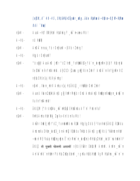### (n§S¥, d` 40-45, EH\$ àM\$>CÉginhr\_nUg. àdie H\$vin A~H\$om~KjZ W~H\$vin Odi **Wm**)

- AaoA~H\$? BW\$H\$m` H\$aVm`g? \_mÂ`m-am-a Mb! n\$≴V -
- $A-Hs$  nU HiR<sup>\$</sup>
- $n\$   $\frac{1}{2}$ AnOA`m nona\_Ybr On(hanV ~{KVbr Znhrg?
- $A-Hs$  -H\$g br On(hanN?
- $n\$   $\frac{1}{2}$ ^bo@! AaoAmO Jn\r^dZ hnto\_YoH\$nWê\$>Yë`m\_lonfgnR\${d{dY H\$bmJlU Xe2mÀ`m ñnYm<sup>o</sup>AmhV. d{hZtZr {Zamo gm{JVbm Zmhr? AmOÀ`m ñnYgmR\$ VrZ nH\$s EH\$ n[aj H\$ Vy Annig!
- n\$\$V, Vilom\_nhrV Anho, n[aj H\$ åhUY\_r H\$R\$nr OnV Znhr!  $A - H\$  -
- AaonU Vilom Zm0H\$ An(U g\$JVmMr Mn\$J br OnU AnhoAn(U N $n$ em N $n$ em \_ilon $\hat{\phi}$ `m  $n\$   $\frac{1}{2}$ Va ñnYnPAnhly!
- $A-Hs$  åhUZM {^Vr dm0\% \_mÂ`mH\$S\Z EH\$mÚmda AÝ`m` Pmbm Va?
- R\$H\$ Anho H\$m`P\$\_ZigVo~Km`bmVa Mb!  $n\$   $\frac{1}{2}$ Amahr XmK§JmYr^dZ\_YonmbmMbm ñQ@ H\$g§gOdb§<sup>2</sup> Vonhmd§åhUµ ñQ@da Anbm Va EH\$n \_ibnZ§\_bm AnVy ñQ@da T\\$bb\$An{U gn\$JVb\$ "Viåhnbm H\$n` ~ntom` M§ 2Voàg H\$ngm gn\$Jm Ë`m{~Mnè`m\_tongm{~MH\$dyZH\$n!\_to§V`ma hntVm`V2 åhUZ ती युक्ती योजली असावी! n{hb§ Viahr Eth\$b\$M Arthril. AnNm \_mÂ`m Am`û`mVë`mH\$rhr PbH\$s ZnQ&ê\$nmV \_r gmXa H\$ê\$ H\$n\$P VgM H\$aVmo \_mÂ`m`m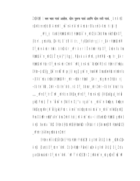Zm0サ㎞V \क्त चार पात्रं आहेत. दोन पुरूष पात्रं आणि दोन स्त्री पात्रं. bm AmU n\$\$Vbmnm{hb\$/1 AnhnV! \_nÂ`m Am`ŵ`nV Anblor BVa nm̧~Knb hi fi j

\_mP§\_yi KanU§H\$nH\$UnVb§ H\$nH\$UÀ`m \_nVrZ§ AZH\$ Wna nê\$fn&n OÝ\_ {Xbm`gmdaH\$a,{QiH\$,O`d\VXidr,YyX\$dVohrqJir \$irH\$mH\$UmVM} O' nom Antor hmir. bhnznur nPr Aer I Öm hmir His O'r Úndm Va Vmo  $H$ \$nb\$UA`m\_mVrZ§ Ë`m\_vi §^JVqgJ, M\$Ded a AmPmX, gyîmfM\$D ~mg hr\_\$ $\frac{1}{2}$ r Hindisumv Hiser OY mbm Ambr Zmhrv`mMi bm Amü`&mQm`Mi nU Hinhr dfmfidu EH\$m ~jonZ§{q\_QA`m nnt`nV qeJ§l mq\ qmè`m\_hmami`\$N OmanSx H\$jom hmVm Vo ~{KVë`mda dmQab§H\$mH\$UMr mVr~mQabrH\$ma@ \$sir mUqmbm EH\$di nj ~XbVm`BB, ZmVr~XbVm`Vrb, nU OY XWmar mVr Zmhr~XbVm`Wma!! Va ... \_mPm OY\_hr E`mM \_mVrVbm\_BH\$S\$\_mPm OY\_\_Pmbm An(U {VH\$S\$X\pa{\\_hm`@ qiê§ Prib§ E`m `i0mA`m {RJ½m OJ^a ngaë`m \_mVrA`m N‡ûşm, N#ûşm VHISEIQIRE JI OSQËS PIJOL. Amë ndiqeron Arbë n Invra nvihsenvz Mma OUnMr nnQ§^aVm`Wma ZmhrV hobj mV Amë`mda ~i dVamdniZr H\$mH\$U qm6\$5§ An(U Xienda `DiZ EHijn d{HijbnHiSi HijnaHijZr nEHijabr! d{Sibninn(O'0 HijnaHijZrZi \_mPmhr {nAN: qm6 {pm6} mPmhr !

EH\$memikmZ§åhQ{b§?H\$\$H\$nhrPmS\$C\$M AqVmV åhU}Z bm\$\_mZMoC\$}>  $\overline{A}$ m(U {Oam\\$ OY mbm ` WmV. CbQ>H\$m\$r Pi\$n{\$1 mQ\$  $\overline{A}$ qVmV åhU\Z O{ Zrda ganQ:UmaoànUr QÝ ntom `\/n\/. `n\\ Y`m`nZ§C\$\\r Z JnR:Unè`m \_nUgn\$ZmË`n\$\`n\\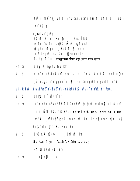C\$/IrA`m ZmH&`m {\_i VmV!! Aer EH\$mXr ZmH\$ar nEH\$am`Mr. b¾ H\$ê\$Z q\$gmambm  $b$ mJm $M_{\rm s}$  ~q<sup>1</sup>!

(मुक्त N़‱mV JmVm)  $EH$$  Xm2,  $EH$$  Xm2 –  $\sim$ m` H $$$ m $\sim$ j $\sim$ ,  $\sim$ n $\sim$ ma,  $\{I$  H $$$ m $\cup$ ! VrZ Mma, VrZ Mma – Zm0#\$, JmÊ`mMr hmgM \\$ma! nm\$/l ghm, nmM ghm - {eH\$dUrMr \\${OVr nhm  $\alpha$ mV An $R$ <sub>?</sub>  $\alpha$ mV An $R$ >- à $\alpha$   $\alpha$ r $\gamma$ {{\\$adbr nn $R$ } ZD\$ Xhm, ZD\$ Xhm - कारकुनाचा संसार पहा.(स्वतःशीच हसतm)

- ~m` H\$m -(AnVY) Ahm@@@ EH\$bV H\$n\$?
- $A H\$  hm \_mÂ`m~m`H\$nMm AndnO. gmalr AemdaÀ`m nÅ\$V AnaS¥ AgVo nU nQQem ddù`m Agë`m Var g§mamÀ`m \_i\$brV ~m`H\$mbm gmWrbm ~gdmd\$A bmJV\$

### (A~H\$ Ant/ OnD\$ bnuVno E`nMdi r E`nMr ~n`H\$noH\$UH\$zZ§ nil bë`n hnVnz§àde H\$aVo)

- $A-HI (XMHK)$  Him  $\Delta$ hUVr q?
- $-\mathbb{m}$   $H$   $\mathbb{S}$   $\mathbb{m}$   $-$ ~mù`mH\$ìhmMmaSYm`? E��\$ Anb§Znhr H\$n? H\$nH\$nZnV ~mi\_oKnbg ~qbm AnhnV?  $\ddot{\mathsf{L}}$ `mbm | m $\dot{\mathsf{M}}$ mda K $\mathsf{D}\mathcal{V}$  Wmm $\mathsf{O}\mathsf{M}$  (बायको जाते. अबक स्वतःचे काम तपासतो. "Zmhr' Aer \_mZ hbd]Z {dê\$Ō ~m0jbm AmV OmVmo j U^amZ§\_jbmbm I m\$Jmda KD\$Z Whin  $0e^{\frac{1}{2}}$  mMm  $A\frac{2}{2}$  H\$aV  $\sim$ nha  $\infty$ Mm)
- $A H$  -CJr@CJr. A\$InB@@@@! ...... r JnU\$åhUyH\$n? झेंडा ऊँचा रहे हमारा, विजयी विश्व तिरंगा प्यारा (२)  $(-m$  H\$m0VanVam àde H\$aVo)
- $\sim$ m` H\$m Oùi b§ b§bj U Vo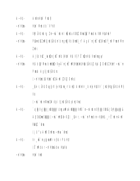- A~H\$ -Anivin H\$n` Pinb?
- $\sim$ m` H\$mo Him Mmbdb V2hp
- $A H$  -VM åhUmbrg Zm ~mù`mbm I m∭mda KD\$Z WmnOgZ Pmndm VM H\$aVmo?
- $-\mathbb{m}$   $H$   $\mathbb{S}$   $\mathbb{m}$   $-$ P\$#d\$ZmM\$JmU\$åhUm`bmgm\$JVb\$hmV\$\_r? Agë`mJmÊ`mZ\$VmOY\_mV Pmnm`Mm Zmhr.
- AJ§bhmZ \_bmZm JnÊ`mVb§H\$m` H\$i V§ ? Ë`nZm H\$i VmVmgp!  $A - H\$  -
- H\$i b@! Mma bmH\$ngr Vw\_À`mJnÊ`mM§H\$nWH\$H\$b§åhUyZ hhi yZ OnD\$ ZH\$m! ~mù`m  $-\mathbb{m}$   $H$   $\mathbb{S}$   $\mathbb{m}$   $-$ Pmoto Ag§JmU§åhUm

(~m`H\$m\\$UH\$nè`nZ§AnV{ZK\Z`OnVo)

 $A-H$  -\_\$i r, åhUOog\$JrV {eH\$bm\_r! An{U AnNmhr \_bm{eH\$dVr` JnU\$H\$g\$åhUm`M\$ **V** 

(~mù`mbm WmnQY duli §JmU§åhUybmJVm)

`oJ&VyJ&@JnB&@@!dnqanMoAnB@@@VnÝô`m~mi\_nbmXjY@@XB&JS\$@@q@@&  $A - H$  -A§JS§Q}mS\$@@(~mù`nH\$S§~K\})\_\$\$r,~mù`n Pnnbm~h|Vbl\$.\_rË`nbm AnV ROSZ Wm

 $(i U^{\wedge} a A_n W$  On $V$  m  $\sim$  tha  $W$   $W$ 

- hr\_mÂ`mgfgmamMrn{hbrPbH\$!  $A - H$  - $(E \cdot M)$ di r ~m`H\$made H\$aVo
- $-\mathbb{m}$   $\mathbb{H}$   $\mathbb{S}$   $\mathbb{m}$   $H\$  hm $\Omega$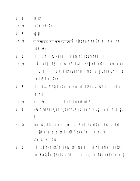- $A-HI -$ HR§H\$m`?
- $-\mathbb{m}$   $H$   $\mathbb{S}$   $\mathbb{m}$   $\sim$ mù `m Pmn $\mathsf{b}$ m Zm?
- $A-H$  hmpaa!
- $-\mathbb{m}$   $\mathbb{H}$   $\mathbb{S}$   $\mathbb{m}$   $-$ AnUY OnH\$m
- $A-Hs$  - $A \cup \S$ ...... nU AnO ~\dma! \_bm~&rÀ`m{eH\$dUrbm0m`M $\S$ !
- $\sim$ m` $H$ \$m ~&rÀ`m{eH\$dUrM§~a§bj mV anhV§ H\$maU {VH\$S\$V<u>w</u>\_Mr bnS#Mr, à<u>o </u>mMr àò gr ..... Oi b§\_b§bj U V() VoH\$rhr Zrhr ^rOr AriU\Z Úm \_J Om HiR§Om`M§?V() KamV H\$nS\$M§bj Zmhr!
- $A H$ \$ -AJS. nU... Ann \$gbm Om`bm Cera Zmhr H\$n\$ hmUma! {VW\$nr {eì`m I mì`m bmJVrb!
- åhUO0H\$m? \_r Kar {eì`m I m`bm KnbV0V & hnbm?  $-\mathbb{m}$   $\mathbb{H}$   $\mathbb{S}$   $\mathbb{m}$   $-$
- $A H$ \$ -Va§ZìhV§åhUm`M§\_bm Vy\_bm^mV, Am\_Q\$, nmi r^mOr, qJi §l m`bmKmbVq.  $nU$  ...
- $\sim$ m` H\$m H\$rhr ~niby ZH\$n! An`û`nMr Jn&>nS\$br`<sup>2</sup> Vr hr H\$a\_aH\$an{er! H\$a, \_a, H\$a! \_r \_brZ§{Xdg^a \_a \_a \_am`M§An{U Z§/a VwÀ`m{eì`m l m`À`m  $(aSW aSW \{ZK\Z \text{ OM}/0)$
- \_\$i r, Zdam-~m`H\$mÀ`m ^n\$JnV H\$nU H\$Unbm{eì`m l m`bm KnbV§Ë`nMm{ZU©  $A - H\$  giàr\_H\$nOSgiōm H\$ê\$ eH\$Uma Znhr. g\_Om Y`m`n{Yengr MiH\$Z niê\$fn\$\`m ~nOg§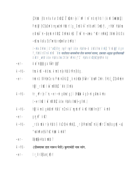{ZH\$nb {Xbm Va Kar OnD\$Z E`ngmhr {eì`nM I mì`m bnJVrb! (AnV S¤hI\$ndg) Pribie! {hZ§aS#`bmgwdnV Hilbr! (g\_OrdUrÀ`mñdanV) S#{biJ, \_r H\$n` H\$aVm eOmaÀ`m ~\$&mbm KD\$Z OnVm An{U Ë`mÀ`m ~am+a ^nOr nnR&lyZ XWmU åhUOo  $\nu$ m $\nu$ ma Vo $Ka$  Ed $T$ m hibnm $\nu$ m Var dm $M$ b!

(~itha Ont/in j U^anz§Kn\_nigV nigV àdie H\$aVin-b diiOdVin Ant/g "Aitb@@' Agin Y HindUrdOmAndnO`Mm पाठोपाठ बायकोचा रोल करणारं पात्रच, एकाद्या अल्लुड मुलीसारखी bnOV\_aH\$V àde H\$vo Xna CKSë`nMn A{^Z` H\$vo AnZ\$(nZ§gH\$Mni Vo)

- A $\mathfrak{m}$ `m aaa qa Viihr aa?  $-\theta$ - $\Gamma$  -
- $A H\$  hm And ~Wdm. Ambm{eH\$dUrMm{Xdq.
- hmd nU BVH\$m Cera Pmbm åhU\ \_bm dmQ{b§Vmhr `WmaM Zmhr. EH\$ {\_{ZQ>Wm\$-m  $-\theta$ h@!rXm2 | mi`m°KD\$Z`Wo (OmVo)
- $A H$  hr \_mPr{eî`m, ~&r~mi qiXma! qJi {HiQi\$ Aq{~mi qiXma Amho  $(-e\Gamma \times m\mathbb{Z})$  | in measure and a set  $H$  and  $\mathbb{Z}$  and  $\mathbb{Z}$  and  $\mathbb{Z}$  and  $\mathbb{Z}$  and  $\mathbb{Z}$  and  $\mathbb{Z}$  and  $\mathbb{Z}$  and  $\mathbb{Z}$  and  $\mathbb{Z}$  and  $\mathbb{Z}$  and  $\mathbb{Z}$  and  $\mathbb{Z}$  and  $\mathbb{Z}$  and  $\mathbb{$
- $A H\$  hệi Amu qiê chi Hiệt`n Zn Aä`ngnbn? Ano Hindvn {df` Anh ?
- gm\_m<sup>y</sup>`kmZ!  $-\theta$ -
- $A$   $H\$  -\_r di mdi r{eH\$db§ VoZrQ>AnRsI\, \_r{dMmaVmE`màýn\$/r CIma§Xo qn\$ ~a§ ^maVmMonVàYmZ H\$mU AmhN?
- $B\mathfrak{h}$ m $0$  $5$ > $H\mathfrak{h}$  bm $H\mathfrak{h}$  $2$  $-\theta$   $\int$  -
- A~H↓ (डोक्यावर हात मारून घेतो) कुणाचंही नाव सांग.
- ∼o⊢r Ir\_VrB§Xam Jn§Yr!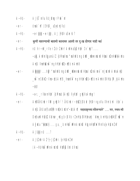- $A-H$ A J$E^* mVa\ndJ@mpr Pmë^m$
- dmaë`m? (EH\$X\_ aSµbmJVo)  $-\theta$ - $\int$
- 
- कुणी वारल्याची बातमी कानावर आली तर दुःख होणार नाही का?  $-\theta$ - $\int -$
- nU hr ~mV\_r Ver Zdr Zmhr! AmVm aSyZ H\$m` Cn`mJ?.....  $A-H\$  -~a@, Ani/m Xipam à íZ {dMmaVmo ^maVni/bm gdni? \_nRm nnionX H\$ma I nZm H\$R\$Anho An(U VmHNUmÀ`m ghH\$m`n\\$~n\$/bm Anh@
- $-\theta$ -A @@@@! ....h @!^maVmVbm gdm?\_mRxn nmbmX H\$ma I mZm Ame`m JmdmV Amho An [U \_mÂ`m S\$\$Zr Vm ~\\$ An^\$\_hmani A`m qhH\$n`m&^{~n\$/bm Anhd BVH\$\${M \$ Anho  $\sim$ H\$!
- $A H$  -~&r, \_r Vilom H\$m`{dMmab§An{U VyH\$m`qn\$JVoAnhiq!
- AnB©åhUnbr VM qn\$JVr`? åhUnbr ~H\$Z§{XbV {H\$Vr ngoVa Xhm bml é\$n`o  $-\theta$ - $\int -$ An U åhUon Yam BMr nn0≱ bmdm"∼क्ष\$An^\ महाराष्ट्रच्या सौजन्याने'.... सर, स्वतःची OnfhanV H\$ê\$Z KNmar nUq§~{KVbr Zm H\$s BVH\$m anJ `Wm bm H\$s dnQY\$E`nA`m A § mda ^ ff\$md § .... ga, \_bm H\$1` mMm And nO H\$gm H\$nT  $\Re$  Mm Vo{eH\$dm Zm?
- $A-H\$   $AJ\$  @ null ...?
- $\sim$ o-r AJ§Zm $\sim$  AJ§Zm $\sim$  Az<sup>22</sup>{~J§Zm $\sim$ . {eH\$dm $\sim$ Zm $\sim$ (A-H\$H\$I`nMm AndnO H\$nT\Z Xml dVmo)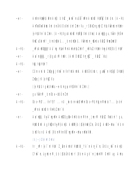- An Mm Hind His Mm An (U bhn Z \_jon A`m a S  $\hat{\bm{\xi}}$ `n Mm And n O Hin T  $\bm{\chi}$  Xm I dm (A~His  $-\theta$ -Amtødtø Kini) Xml dmåhuolixml dm! Zmhr Va \_r S\$\$Zm gm\$lrZ H\$ Viåhmbm H\$mhr {eH\$dVm`\ Zmhr. (A~H\$ VqaAmdmO H\$mT\Z Xml dVmo) A $\hat{x}$ `me@qa, Vwihr{H\$lmr N#Z aS\$omV! bm dmQ\$o\$... bm dmQ\$o\$..V&hmbm m\$\$da KD\$Z WmnQ#d\$!
- $A H\$  -\_mPoAnB®@@@! Aä`mg H\$am`Mm AnthoH\$s Znthr? \_mñVaZr H\$nthr hm\_dH\$?{Xb\$ H\$n?
- $A\hat{x}$  m  $\text{cos}\theta$ ,  $\pi$  {dgabrM hm/r. (AmV OmD\$Z hm mfZ  $\sim$  KD\$Z  $\sim$  Vo)  $-\theta$ - $\int$
- $A-HI$ he, he  $H\$  ?
- CÚm emi W Zmûş gürvmà`m ñn Ym® AnthW. An B®åh Untor, gannà`m H\$SpZ EH\$mX§  $-\theta$ -ZmûęJrV {eH\$Z Ko  $(\{eH\}dUr\ q\hat{e}\$ hm $V_0 \sim \theta r$ bm quan $H\$
- $qa$  Vahr $M_b$  bm  $Bb + \frac{1}{2}$  Um  $Zm$  $-\theta$ -
- $A H\$  - $B$ bo ~H\$? $\ldots$   $\tilde{n}$ n $\gamma$ V? $\ldots$  nU  $\perp$ brbm n $\hat{e}$ \$fmMm  $B$ bo ~H\$ H\$qm Mmbib? $\ldots$  {edm` nPm AndnOhr R\$H\$ Znhr`ð
- $-\theta$ -Aæ`mee, Vw A`mgmR\$ AnB2§ gik> KniVbilonn Mhm JmerM H\$ê\$Z Rualbm`? ga, H\$n\*b©nV AqVn&m Vw\_M§An{U AnBM§b\\$S\$hnW§Zm, åhU\ AnB©~nha`m`bm  $\text{DmO}$ Vo nU AnO {V $\text{Dm Mhm Xf}$ `ngn $\text{Rf}$  ~ma nn $\text{RdVM}$ . (bJ~JrZ§AnN OnNo)
- $A H$  hr \_mPr {eî`m! H\$m` Z\_wm Amhd! H\$mbQ\_Yë`m Am\_À`m, åhUo\_mÂ`m Am{U Cfmìm àn thom M \$ b\\$S\$ åhUnbr! {Vbm Agë`m Jmi\$VM OmīV ag Anho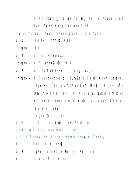åhUZM Jibr XmZ df} r {Vbm {eH\$dVm`Var r Xhm`dr nmg ìhm`bm V`ma Zmhr! EH\$Xm \_r {VÀ`m d{S\$ongm g\_OmdÊ`nMm à` ËZ H\$10m

(niệst ninì EHsin ~nOjZ§àdie Hsész Xjgè`in ~nOjbin OnD\$ bnJV§ A~H\$ Ë`nbin AS&IVno)

- $A-Hs$  - $\sim$ mi mgmho $\cdot$ .... Wm6\$ $\sim$ mbm $\sim$ M§hm $\sqrt{3}$
- $\sim$ mi mgmha  $\sim$ mbml
- $A$   $H\$  åhUO $\mathfrak b$ åhUm`M§hmV§H\$ $\ldots$ .
- $\sim$ mi mgmh $\rightarrow$  åhUm Z $\rightarrow$  \\$ dmTsdyZ nm{hOoH\$m $\sim$  {Xbr!}
- $A H\$  -Zmhr! åhUm`M§hmV§H\$ ~&rM§{ej UmV bj Zmhr. \_J ...
- ~mi mgmha- (hgì) hine@hine@hine@!~a-r{eH\$Uma Zinhr ho\_bm\_n(hV Ainho nU Aenith\$and, 1 a§gn\$Jy H\$m, ∼o-rMm \_m̃Va åhU\ Våhmbm AnnBQ>H\$b§Ë`mM {Xder \_mÂ`m \\$nD\$S\$bm nnM bml nMr AnS&{\_i nbr. Vw\_Mm nm`JW, Xlpa§H\$n`. Ë`nM {Xder Radb§V<u>w</u> Monm` `m Kambm dma§lma bmJ bM nm{hOW. V<u>w A`m \\$</u> dmT\$~XXb Cfmer ~mbm \_bm Cera hmVmi!

(~mi ngnthe nQH\$Z2{ZK\Z Ont/nt/.)

 $A - H\$  - $E^{\sim}$ m {Xder CfmMr ^0>0 $\pi$ i br r H\$erVar nU Am $\Omega$ ....

(ñÌr nmì CfriÀ`mê\$nml/ àdie H&V§ MhmMm H\$n A~H\$bm XiVo

A~H\$ CFmMr ZOa Qaii \Z, EH\$mX \ml/ Mhm{nD\$Z QaH\$Vno H\$n CFnH\$S\$XWno OnD\$ bnvVno)

- $Cfm -$ Mhm  $I \nmid \mathfrak{y}$  Jma PmbdVm H $\mathfrak{m}$  $\mathfrak{p}$
- $A H\$  -N\$@ N\$@! gJi oMQ`h\$qhZ H\$am`Mr gd` Pnbr`^\_bm!
- $Cfm -$ \_mÂ`mer Ag\$1 ~mbUma Amhig?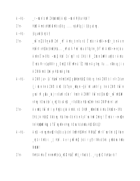- $A H$  r ~mbm`bmM ZH\$mbmW\$ An{U ~mbm`M§Var H\$m`?
- $Cfm -$ Hing AmboHinbOnVbo{Xdg ..... nduM§gJi §{dgabng.
- $A-HI \{dq$ amd $\int$ bm $\int$
- $Cfm -$ \_mÂ`m{ZU©m\_vi \$/1 Zm? \_nY` Anho\_bm Vo nU Ë`mdi r AnB©~n~n\$Zr \_bm Aem HinirV nHistoshmi/sHis.... \_mPob34 Pmë`mda df©ghm \_{hÝ`mV AmB©~m~m Jibo Anivim E`m-XXb ~niby H\$m` Cn`nu? nU EH\$ I §V \_Zinbin S#MV an{hbr Aniho Ë`mdi Mr n[apñWVr g\_OmdyZ KÊ`mMm à`ËZ H\$bm AgVmg Va ... niTsbogJi o AZW<sup>®</sup>AmU Qmi yeH\$bmAqVm
- $A-Hs$  -AZW? Jar~ {à`H\$amÀ`m VmdS\$VZ quH\$m H\$ê\$Z KWbrg hm AZW? b1 nVr Zdam { i mbm hm AZW? AmO EdT me mR me ~\$1ë`mV amhVr`q hm AZW? Vin`m gmal rM gika \_ibJr nXanV nSibr`Vmbhr AZWM? ViÀ`m d{SibniZr \_mÂ`nH\$SiM nþing hOma é\$n`o m{JVboAm{U r VoXD\$ eH\$bmZinhr hm AZWPmbm I am!
- $Cfm -$ Aents, Vià nV I n Mn§lbo JiU Antiv. nU EH\$M \_nRsh Xnif Antio EH\$nÚm ~XXb EH\$ Jh H\$ê\$Z KWbmg H\$ Vm ~ Xbm`bm Vy V`ma hmV Znhrg! E`mdir ~ m~m $\gamma$ m hm`H\$nQ#PP H&g bT{{`mgmR\$ nÞmg hOma hdohm\/o H\$O&hU}Z!
- $A-H$  -An[U ~mi mgmho-ngr Vo{Xbo {edm` XnihrH\$S\$Mm I M¶\$aÊ`nMr V`nar Xml dyZ Vilom \_mJUr KmVbr. \_J H\$m`. Aer gmi`mh\ {ndi r g\$/r ViPodS\$b gm6:Yma hmiVo WMGAN!
- $Cfm -$ R<sub>\$H\$</sub> Antho E`m nmnm/I§n[a\_nO2<sup>®</sup> H\$aÊ`nM§\_r Radb§.\_r qn\$JrZ VoH\$aerb?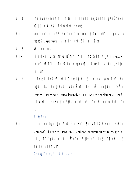- $A~H\$  Ahm\_r ZmQ\\$dmbm Anho\_bm H\$m\_Um!\_r Jm`H\$ Anho\_bm Jm`Mr q§Yr Um Aer nnQ\$ Jù`nV AS\\$d\Z MnH\$nMnH\$nV C^m anh\$?
- $Cfm -$ H\$nhr qn\$Jm`bm Omd§ Va Qn\$Jm`bm V`ma hmVmg! (nS\}{|mD\$Z) \_r qn\$JrZ Vo Hiaerb? \क्त एकदा! m `mgmR\$! BbrO. Zmhr ahUy ZHimg!
- $A-HI R$ \$H\$  $Am$  $\theta$   $\sim$ m $\phi$ .
- $Cfm -$ ∼mi mgmho-mMr EH\$m Zm0s{Z\_m® mer Ami I Amho {edm` Am\_À`m \क्टरीची OnfhanV Xni MZbda MnbyAnho ~mi mgnho-nir eãX QuiH\$bm Va Vilom Z \$ H\$m  $\left\{\begin{array}{c} i \vee \text{amhrb.}\end{array}\right.$
- $A-Hs$  -~&rMr {eH\$dUr XD\$Z AmYrM CnH\$ma H\$bV E`m\$r \_mÂ`mda. nadmM E`m\$r \_bm gm{JVb§H\$s \_mPr {eH\$dUr Radbr E`mM {Xder \_mÂ`m nm`JiUm\_ii §Vi\_A`m \क्टरीला पांच लाखाची ऑर्डर मिळाली. म्हणजे माझ्या लायकीपेक्षा माझा पायJU daMT>Rabm Aer H\$m §`m nif§H\$aUma Zmhr \_r! që`m-XXb Am^mar Anho `Wm  $\lfloor$ f.

#### $(A - H$ Om/m)$

 $Cfm -$ `m \_mUgmer H\$g§dmJmd§An{U Ë`mM§H\$m` H\$and§VM H\$i V Znhr. AeniH\$bm 'प्रॅक्टिकल' होणं कधीच जमलं नाही. प्रॅक्टिकल लोकांच्या या जगात म्हणूनच तो doli m, CR¥ {XgVmo åhU¥M \_r Ë`mÀ`mda EH6H\$mi r ào\_H6b§ AO¥hr H\$aË`ô?, ni \$r H\$aV arhUma Arho

(Onlo Xbjè`m~nOg§A~H\$ àde H\$aVno)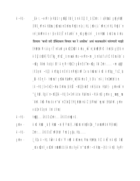- Si r, ~o-rMr {eH\$dUr gn6\Z XW§\_bm AO\Z O\_b§Zmhr. I a§H\$maU gn\$JyH\$n\$  $A - H\$  -{VW§\_mPm Ahfi\$ma Jn|Omabm OniVmo Mn\$Jbm {ej H\$, Jn6>Jù`nMm Jm`H\$, Mn\$Jë`m nm`JiUmMm Aer {defU§Ë`m KamVë`m \_mUgm§edm` \_bm H\$mU bmdUma Amho शिवाय 'कधी तरी प्रॅक्टिकल विचार कर रे अशोक' असं कळकळीनं सांगणारी माझी EH&H\$mi Mr àò gr È`m KamV gwl mZ§Zn&V Anhọ \_mÂ`m JiUn\$/I§MrO ìhmd§Ag§{Vbm AOZ dnû¥§ 2EdT§g\_nYnZ \_bm naoAnho ~o-rMm ~m \_bm Xadfu VrZ hOma ê\$n`o ~mZg XWmì Voduli M! Am\_Mr H§nZr giỗm EdTm ~mZg XW Zmhr...... ~m a@@! (KS&mi ~K\Z) An\\$qbm Om`bm Mn\$JbmM Cera hmUma! AnO An\\$q\_YoZ \$ (D-hOm V- hmUma!! qmS\$AH\$anMm InW®Anho O b§Va `m Aj VmQ#H\$m`bm  $(A-H$ JS>S$Z$ -mha OhVm {dê$O -mQZ$ nê$f nm$ade H$aV$ - gmb-m^m$ ^{\_H\$V. X|gè`m~nO\Z\$A~H\$JS>S\$V àde H\$aVm A~H\$An{U gnh& g\_nang\_na edQ\$ KSEmi Xml dVm)
- hmpe.... åhUOoZmhr.... åhUOohmp nU.  $A - H$  -
- $g$ mh $\theta$  -AnO H\$nU \_60& H\$nU ~mi \$/ Pnb&..H\$Unbm hn\$ñnQ\$b\_YonntnmMdm` M\$hnN\$
- $Zm$ r...  $\ddot{a}hUO_0\ddot{E}$ ` $m\sqrt{g}H\ddot{m}$  P $m\sqrt{g}$  gea,  $H\ddot{s}$ .....  $A - H\$  -
- $Qmb -$ {\_ñQa A~H\$, Viåhr AnOn`V nn\$/1 AnOne-m, Mma H\$nH\$m, VrZ AnE`m An{U XniZ \_mdengm ñ\_enznV nnbnMdb§Anho VwÀ`m ^mdnMr ~m`H\$mp ~{hUr An{U Vw\_Mr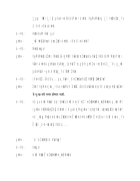{I VnV nSboAmhV.

- $A-H$ -$  H $\#$ hrVarM H $\#$  ga!
- \_mÂ`mH\$S§Vmarl dma ZmKr AmhW. ~Km`À`m AmhW?  $Q$ mh $\theta$  –
- MW\$bmga!  $A - H\$  -
- $Qmb -$ <u>Vw M§MiH\$b§Zirhr. MiH\$b§Am M\$A! Våhirbm ZiiH\$arda Røly KiVb§hrM MiH\$ Pirbr.</u> Våhr AnVm Ag§H\$am KaH\$m\_, {eH\$dÊ`m, g§JrV gnYZm, ~mi §/nU§ \_`Vr, g\_nO gdm H\$aV ~gm An\\$g\_Yo`0\$M ZH\$n
- $A H\$  -(Km-ê钇)åhUO $\ldots$  ga, Vmhr \_bm ZmH&rdê亿 H\$mTvZ Q#H\$Uma?
- $QmbP -$ Zint! Vii\_Mm nJma \_r Kar nmhMdV OmB2. åhUOoViihmbm {eñV bindyeH\$bmzint हे दुःख तरी मला होणार नाही.
- $A H$  nU ga AnO H\$maU ddi §hmW§ AnO Am\_À`mZì`mZnQ‡|\$nMm\_h|W®nnWm g \$mi rM! (githe VinS4/inSy{ZK\Z OnNnN.) AgoAm Mogithe!d\MuJVnN, anJimanJnZ\_s~ntoVnN! nU \_mUg Mm\$Jbm Anho ZmQ\\$ hm E`m\$/lm drH\$ nmBQ\} E`m {Xder b\$/l Amda \_Yo  $E$ `n $Zr$  \_bm ~mbmd $Z$   $KW$ b $\S$ .....
- 
- $A H\$  hmga!
- githe AnO H\$mUE`m ZnQ\\$\$mMm \_\m\V@\n\Mm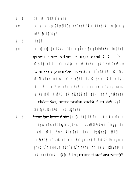$A - H$  -JSH&`nA`m "EH\$M B`nbm'Mm

- $Qm +$ dine dine dine! AaoJS\\$1.5ar åhUOo\_anR\$ ZnO\&X\**d**V\A`m\_\\Q\$M\bm AZ\_n\b {ham! Vy H\$mUV§H\$m\_H\$aVm`q?
- $A H$ \$ -**QIMIH\$aM!**
- dme dme dme! JmdnH\$S\$ AgVngm \_r gion EH\$Xm givinH\$aM\$ H\$n\_ H\$b\$ hmV\$  $g$ mh $\theta$  -सुधाकरच्या स्वगतातली काही वाक्य मला अजून आठवतायत!  $\mathsf{E}\mathsf{H\$}\,\mathsf{hu}@!$   $\mathsf{(A/Ve\,}$ ZnQ\\$nUg`am\_bnb, AnVm`m[aH\$nå`mnë`nV VlbmH\$n`{XqV§?H\$nhr Znhr? Aaq नीट पहा म्हणजे श्रीकृष्णाच्या तोंडात, विश्वरूप Xe2 àq\$l `emXiom{XqbiZqVrb, VoM ËH\$ma Vilom`m në`nV ~Km`bm qmnS\rb? H\$n~mS>H\$i >CnqyZ Anbibm WH\$dm KrbdÊ`rÀ`m AreZ§Xrê\${nUrè`m - Oan∯`mË`m nhm ProS£m! Vronhm, Vronhm, à{V{ð¥nUmM§bj U åhU⊈ MmMë`mZ§Xmê\$ ß`m`bm {eH\$b@`m nT¥ \_y| mMm Vm\$# ... (दीर्घश्वास घेऊन) दारूबाज नवऱ्यांच्या बायकांची ती पहा पांढरी \\lीA\l)\$V H\$nmi §@ (AndenZ\$gdJ Yo{XqZngm hnWm)
- $A-Hs$  -ते वाक्य ऐकता ऐकताच मी पांढरा \\$0A\$0\$V hmD\$Z EH\$ Vmg ~@10 nS\$omhmVm Va …. AgoAm\_MoZmQ\\$d&@gmho~. \_\$\*; r, l a§Va ZmQ\\$mM§d&>bmJë`mnrqğ \_mPr g§rVmMr Amt>H\$\_r Pmbr`? Ahm, ZmQ\\$ åhU0ogd@H\$bm\$/lm g\$J\_! åhU}ZM \_r E`m H\$bH\$S\$Om~N`AmT\$bm Jibm nU H\$m`gm\$Jm`M\$? Vr AmT>àE`H\$nbm gmal r ZqVo ZXrÀ`m EH\$m{H\$Zmè`mH\$Së`m nmÊ`mbm OmñV AmT>Aqib Va Vmq{H\$Zmam Oqm Om̃V YmbmOmVm Vq§Zm∰mMr AmJ>Áçाला जास्त, ती व्यक्ती जास्त उध्वस्त होते!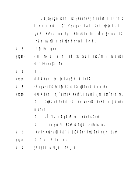EH\${H\$ngmgm\$JVmo hmer ZmOgg\$jWm\$ZmAOqZnirnmim\$/IrMUMU ^mgVo ñìr nmìmà memò mv\_r qhS\* hmb/m gm àr{V H\$mdi ob34mnpu Zm0#I\$mV H\$m\_ H\$aV AgV Ag§H\$nZmda Amb§åhUµ \_r EH\$n a{ddmar H\$ndù`m\$`m ~\$Jë`mda OmD\$Z YSH\$bm àr{VVmBÀ`m gmgè`mer ì ham\$ cmVM JmR>nS \$pr.

- $A H\$  -Z\_ñH\$ma H\$mdi ogmha.
- VoR\$H\$ Antho nU ^Qxn`bm ` $\hat{t}$  mydu \\$nZ H\$ê\$Z do RadÊ `nMr arV^nV Vahntom  $QmQam -$ Hillr {eH\$dbibr {XgV Zirhr.
- $A-Hs$  qmar qa!
- VOR\$H\$ Antho nU H\$m` H\$m` H\$mT\$b\$V Vo~ntom MQ\$I\$Z?  $Q$ m $Q$ am $-$
- $A H$  -V<u>w</u> A`m giz~mB<sup>o</sup>zmQ}{\$mV H\$m\_ H\$aVrb H\$m Vo{dMmam`bm AntomohmVmo
- VoR\$H\$ Anho nU Am\_À`mH\$nhr AQ\$ Anh\. Ë`mVnhnbm\_n'` H\$amì`m bmJVrb. gmgam-AQ>1 br-ZmQ\\$\_rAm\rdm\n\Z~KrZ.Vn\S&memB\S\I\umH\$bbm^mJV&hmbm Jmi mdm bmJto.

AQ>2 ar- amir ZD\$A`m nir§giZ~nB®Vnto\_rbm Wn\$-Uma ZnthrV.

AQ>3 ar - Amathr gm\$JyVM H\$nS\$Am{U Xm{JZ0gw-mB©dmaVrb.

- $A H\$  -^aOar H\$nS&m\$/Ir An{U Xn{JY`n\$/Ir JaOM Znhr. H\$maU ZnQ\\$ gm\_n{OH\$ Anho
- gmgam  $A0>$   $M^2$   $Zq$   $\omega$   $Va$   $Mm$   $\omega$   $\omega$   $m$
- $A H$  -V<u>w</u>À`mgJù`mAQ\$\_mÝ`AnhV\_bm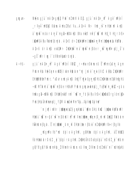- Wnf-m gJù`m AQ≴ gn\$lyZ Pnë`m ZnhrV AOyZ. gJù`m AQ≴\_nY` Agë`mM§n l  $QmQam -$ \_r VwÀ`nH\$S\Z KNma Anho Z\$Va! Va...AQ>4 Wr- Vnto\_rÀ`m H\$mi nN An{U à`mJmÀ`m dọ r Am À`m qıZ~mB©Am{U BVa niệ\$f nml{s`mA`mV H\$| V H\$ r XrS> \10:#M\$AVa\_R@Ind\$bnJlo\_A0>5\_dr-Zn0:H\$nMm \\$n0:#Am\_Mm \\$n0:#J#\\$a\_H\$nTdp\_ AQ>6 dr An(U edQMr- ZnQ\\ma`m à`mJmÀ`m {Xder \_mÂ`mgnR\$ qdJ\_Ü`0  $\neg$ gÊ`m $M$ r I mg ì`dñ $W$ m H $\frac{\sinh(n)}{\sinh(n)}$
- $A H\$  gJù`m AQ\$ \_mY` Agë`mM§n] XD\Z \_r ~mha nS\sm nU E`mMm n[aUm\_ Agm Pirlom H\$ Vinf-Sigm enB2§ I illm Hilbildom ^mJ Jini ë`m\_ili § VrZ Affi\$ ZnQH\$mMr  $EH\$  FH\sh{H\\$H\\$m Pnt\Dr, ^aOar ent\p An{U Xn{JY`n{\pi  $\frac{1}{2}$  of  $\frac{1}{2}$  and  $\frac{1}{2}$  and  $\frac{1}{2}$  and  $\frac{1}{2}$  and  $\frac{1}{2}$  and  $\frac{1}{2}$  and  $\frac{1}{2}$  and  $\frac{1}{2}$  and  $\frac{1}{2}$  and  $\frac{1}{2}$  and  $\frac{1}{2}$  a ~nO MT:bnl à`ndnÀ`n{Xder H\$haM Pnbn gnga&dmqdJ\_Yo{Ræ`m\_nê\$Z ~gbo hmVo gr-nB©An{U EH\$nX§nê\$f nmÌ `n\$\`m\_Yb§A\$/a XrS>\@#E@Or gìdm \\$Q> Pnto§H\$s åhnMmam qdJ\_Y\ZM AmaS#i`Mm "Xia...Xia hme Xia hmd"

`m JnYi nVhr \\$nQæJn\\$aZ§qm;H\$ndù`n\$/lm EH\$ N#Z \\$nQæj H\$nT\$onM! H\$rdù`n\$\`m ~\$Jë`nA`m {XdnUl nY`nV Vm \\$nQm = nRecm {X = ml nV Qm\$JZ Rølbibm Våhmbm{Xgb. E`m \\$nQaN \_bm\_ml EH\$n \\$ner {Xbë`m ZnQ\\$m\r N>r {XgVd

\_mUgmMo ñd^md dolio AgVmV, gñH\$ma dolio AgVmV, àË`H\$mZ§ ñdrH\$mabibr OrdZ \_jë`§diJi r AgVnV. ZnQ\\$ åhUOodiJdiJù`m OrdZ\_jë`nVbm gKf?gKf®AnbmH\$ ZñVmhr Anbm nU Vm ZñVm OrdZmVë`mì`mdhmaH\$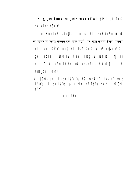मनस्तापातून मुक्ती देणारा असतो. मुक्तीचा तो आनंद मिळdË`ligliRि\$M gJi r YSे\$S> AgVo Ahmami YSnS!

amir Pmbr dm0Vg KamMr {H\$ëbr Anho mâ`m0di . ~m`H\$mMr Pmn m6>hm0\$ नये म्हणून मी किल्ली घेऊनच रोज बाहेर पडतो. पण मला कधीही किल्ली वापरावी bmJbibr Zinhr. {OY`inV nindb§dinObr H\$ Vr Xima CKSiZ \_nPr din0>nhinV C^r AgVo KamVbr gJir H\$m\_§CaH\$Z, \_bm@mOdyKmb&AZ2E`m@mPmnd& `mjUmMr dm2>~KV C^r AgVo Vmj UM H\$m` VmAm\_Mm AgVm A~H\$ An(U {\_gg A~H\$ `mMm!\_bmJb§nm{hOo..

(A~H\$ OmVmo qm, A~H\$ àde H\$aVo Xma CKSë`mVm A{^Z` H\$ê\$Z C^r antiVo j U^amZ§A~H\$ àde H\$aVmo gmà`m I m{Jmda hmV RøVmo hgV hgV XmK§OmD\$  $b$ mJ $V$ m $V$ .)

 $(nS\text{Xm}nS\text{Wm})$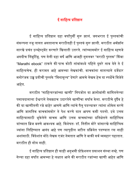### ई साहित्य प्रतिष्ठान

ई साहित्य प्रतिष्ठान दहा वर्षांपुर्वी सुरू झालं. जगभरात ई पुस्तकांची संकल्पना रुजू लागत असतानाच मराठीतही ई पुस्तकं सुरू झाली. मराठीत अमॅझॉन सारखे प्रचंड इन्व्हेस्ट्मेंट करणारे खिलाडी उतरले. त्यांच्यासमोर ई साहित्य म्हणजे अगदीच लिंबुटिंबू. पण गेली दहा वर्षं आणि आजही गुगलवर "मराठी पुस्तक" किंंवा "Marathi ebook" टाकले की पाच कोटी नांवांमध्ये पहिले दुसरे नाव येते ते ई साहित्यचेच. ही करामत आहे आमच्या लेखकांची. वाचकांना सातत्याने दर्जेदार मनोरंजक उच्च प्रतीची पुस्तके "विनामूल्य" देणारे आमचे लेखक हेच या स्पर्धेचे विजेते आहेत.

मराठीत "साहित्यरत्नांच्या खाणी" निपजोत या ज्ञानोबांनी मागितलेल्या पसायदानाला ईश्वराने तेवढ्याच उदारतेने खाणींचा वर्षाव केला. मराठीचे दुर्दैव हे की या खाणींतली रत्ने बाहेर आणणे आणि त्यांचे पैलू पडल्यावर त्यांना शोकेस करणे आणि जागतिक वाचकांसमोर ते पेश करणे यात आपण कमी पडलो. इथे उत्तम साहित्यासाठी भुकेलेले वाचक आणि उत्तम वाचकांच्या प्रतिक्षेतले साहित्यिक यांच्यात ब्रिज बनणे आवश्यक आहे. विशेषतः डॉ. नितीन मोरे यांसारखे साहित्यिक ज्यांना लिहिण्यात आनंद आहे पण त्यापुढील जटील प्रक्रियेत पडण्यात रस नाही अशांसाठी. विदेशांत मोठे लेखक एजंट नेमतात आणि ते बाकी सर्व व्यवहार पहातात. मराठीत ही सोय नाही.

ई साहित्य प्रतिष्ठान ही काही अनुभवी प्रोफ़ेशनल प्रकाशन संस्था नव्हे. पण गेल्या दहा वर्षांत आमच्या हे लक्षात आले की मराठीत रत्नांच्या खाणी आहेत आणि